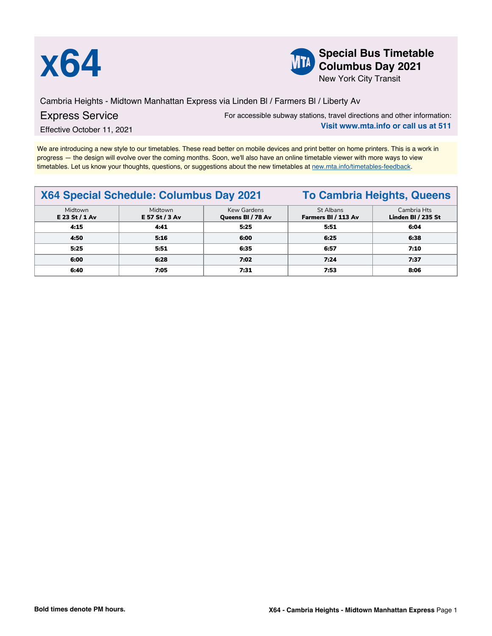



**X64 Special Bus Timetable**<br> **Special Bus Timetable**<br> **Special Bus Timetable**<br> **Special Bus Timetable Columbus Day 2021**

New York City Transit

Cambria Heights - Midtown Manhattan Express via Linden Bl / Farmers Bl / Liberty Av

## Express Service

For accessible subway stations, travel directions and other information: **Visit www.mta.info or call us at 511**

Effective October 11, 2021

We are introducing a new style to our timetables. These read better on mobile devices and print better on home printers. This is a work in progress — the design will evolve over the coming months. Soon, we'll also have an online timetable viewer with more ways to view timetables. Let us know your thoughts, questions, or suggestions about the new timetables at [new.mta.info/timetables-feedback](https://new.mta.info/timetables-feedback).

|                           | X64 Special Schedule: Columbus Day 2021 | <b>To Cambria Heights, Queens</b> |                                  |                                   |
|---------------------------|-----------------------------------------|-----------------------------------|----------------------------------|-----------------------------------|
| Midtown<br>E 23 St / 1 Av | Midtown<br>E 57 St / 3 Av               | Kew Gardens<br>Queens BI / 78 Av  | St Albans<br>Farmers BI / 113 Av | Cambria Hts<br>Linden BI / 235 St |
| 4:15                      | 4:41                                    | 5:25                              | 5:51                             | 6:04                              |
| 4:50                      | 5:16                                    | 6:00                              | 6:25                             | 6:38                              |
| 5:25                      | 5:51                                    | 6:35                              | 6:57                             | 7:10                              |
| 6:00                      | 6:28                                    | 7:02                              | 7:24                             | 7:37                              |
| 6:40                      | 7:05                                    | 7:31                              | 7:53                             | 8:06                              |